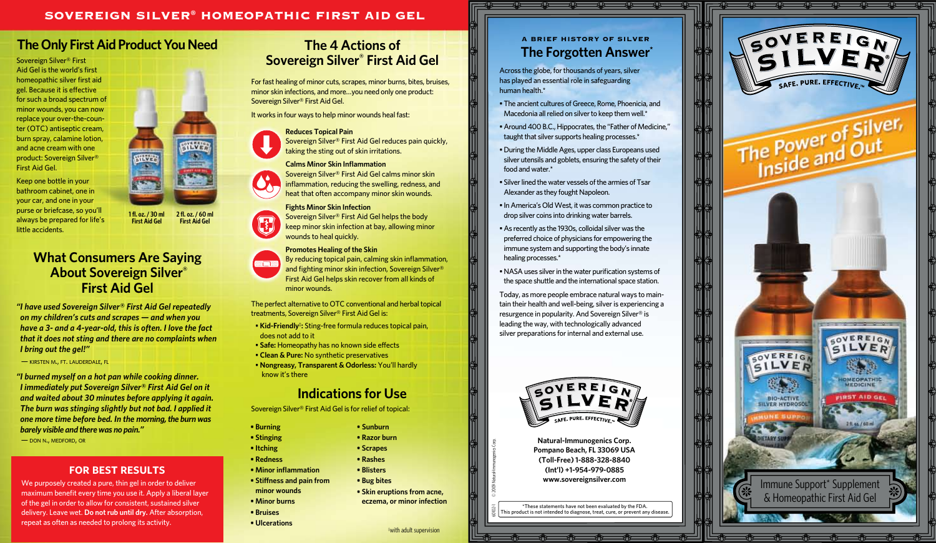## SOVEREIGN SILVER® HOMEOPATHIC FIRST AID GEL

# **The Only First Aid Product You Need**

Sovereign Silver® First Aid Gel is the world's first homeopathic silver first aid gel. Because it is effective for such a broad spectrum of minor wounds, you can now replace your over-the-counter (OTC) antiseptic cream, burn spray, calamine lotion, and acne cream with one product: Sovereign Silver® First Aid Gel.

Keep one bottle in your bathroom cabinet, one in your car, and one in your purse or briefcase, so you'll always be prepared for life's little accidents.

**1 fl. oz. / 30 ml First Aid Gel**

## **What Consumers Are Saying About Sovereign Silver® First Aid Gel**

*"I have used Sovereign Silver® First Aid Gel repeatedly on my children's cuts and scrapes — and when you have a 3- and a 4-year-old, this is often. I love the fact that it does not sting and there are no complaints when I bring out the gel!"*

— kirsten m., ft. lauderdale, fl

*"I burned myself on a hot pan while cooking dinner. I immediately put Sovereign Silver® First Aid Gel on it and waited about 30 minutes before applying it again. The burn was stinging slightly but not bad. I applied it one more time before bed. In the morning,the burn was barely visible and there was no pain."*

— don n., medford, or

### **for best results**

We purposely created a pure, thin gel in order to deliver maximum benefit every time you use it. Apply a liberal layer of the gel in order to allow for consistent, sustained silver delivery. Leave wet. **Do not rub until dry.** After absorption, repeat as often as needed to prolong its activity.

# **The 4 Actions of Sovereign Silver® First Aid Gel**

For fast healing of minor cuts, scrapes, minor burns, bites, bruises, minor skin infections, and more…you need only one product: Sovereign Silver® First Aid Gel.

It works in four ways to help minor wounds heal fast:

#### **Reduces Topical Pain**

Sovereign Silver® First Aid Gel reduces pain quickly, taking the sting out of skin irritations.

#### **Calms Minor Skin Inflammation**  Sovereign Silver® First Aid Gel calms minor skin inflammation, reducing the swelling, redness, and heat that often accompany minor skin wounds.

**Fights Minor Skin Infection**  Sovereign Silver® First Aid Gel helps the body keep minor skin infection at bay, allowing minor wounds to heal quickly.

#### **Promotes Healing of the Skin**

By reducing topical pain, calming skin inflammation, <u> and the part</u> and fighting minor skin infection, Sovereign Silver® First Aid Gel helps skin recover from all kinds of minor wounds.

The perfect alternative to OTC conventional and herbal topical treatments, Sovereign Silver® First Aid Gel is:

- **Kid-Friendly‡ :** Sting-free formula reduces topical pain, does not add to it
- **Safe:** Homeopathy has no known side effects
- **Clean & Pure:** No synthetic preservatives
- **Nongreasy, Transparent & Odorless:** You'll hardly know it's there

## **Indications for Use**

**• Sunburn • Razor burn • Scrapes • Rashes • Blisters • Bug bites**

‡ with adult supervision

60102-1 © 2009 Natural-Immunogenics Corp.

**• Skin eruptions from acne, eczema, or minor infection**

Sovereign Silver® First Aid Gel is for relief of topical:

- **Burning • Stinging**
- **Itching**
- **Redness**
- **Minor inflammation**
- **Stiffness and pain from**
- **minor wounds • Minor burns**
- **Bruises**
- **Ulcerations**



Across the globe, for thousands of years, silver has played an essential role in safeguarding human health.\*

- The ancient cultures of Greece, Rome, Phoenicia, and Macedonia all relied on silver to keep them well.\*
- Around 400 B.C., Hippocrates, the "Father of Medicine," taught that silver supports healing processes.\*
- During the Middle Ages, upper class Europeans used silver utensils and goblets, ensuring the safety of their food and water.\*
- Silver lined the water vessels of the armies of Tsar Alexander as they fought Napoleon.
- In America's Old West, it was common practice to drop silver coins into drinking water barrels.
- As recently as the 1930s, colloidal silver was the preferred choice of physicians for empowering the immune system and supporting the body's innate healing processes.\*
- NASA uses silver in the water purification systems of the space shuttle and the international space station.

Today, as more people embrace natural ways to maintain their health and well-being, silver is experiencing a resurgence in popularity. And Sovereign Silver® is leading the way, with technologically advanced silver preparations for internal and external use.



**Natural-Immunogenics Corp. Pompano Beach, FL 33069 USA (Toll-Free) 1-888-328-8840 (Int'l) +1-954-979-0885 www.sovereignsilver.com**

\*These statements have not been evaluated by the FDA. his product is not intended to diagnose, treat, cure, or prevent any disease





**2 fl. oz. / 60 ml First Aid Gel**